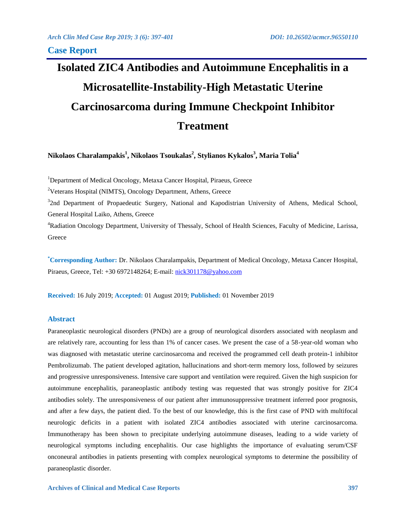# **Isolated ZIC4 Antibodies and Autoimmune Encephalitis in a Microsatellite-Instability-High Metastatic Uterine Carcinosarcoma during Immune Checkpoint Inhibitor Treatment**

**Nikolaos Charalampakis<sup>1</sup> , Nikolaos Tsoukalas<sup>2</sup> , Stylianos Kykalos<sup>3</sup> , Maria Tolia<sup>4</sup>**

<sup>1</sup>Department of Medical Oncology, Metaxa Cancer Hospital, Piraeus, Greece

<sup>2</sup>Veterans Hospital (NIMTS), Oncology Department, Athens, Greece

<sup>3</sup>2nd Department of Propaedeutic Surgery, National and Kapodistrian University of Athens, Medical School, General Hospital Laiko, Athens, Greece

<sup>4</sup>Radiation Oncology Department, University of Thessaly, School of Health Sciences, Faculty of Medicine, Larissa, Greece

**\*Corresponding Author:** Dr. Nikolaos Charalampakis, Department of Medical Oncology, Metaxa Cancer Hospital, Piraeus, Greece, Tel: +30 6972148264; E-mail: [nick301178@yahoo.com](mailto:nick301178@yahoo.com)

**Received:** 16 July 2019; **Accepted:** 01 August 2019; **Published:** 01 November 2019

# **Abstract**

Paraneoplastic neurological disorders (PNDs) are a group of neurological disorders associated with neoplasm and are relatively rare, accounting for less than 1% of cancer cases. We present the case of a 58-year-old woman who was diagnosed with metastatic uterine carcinosarcoma and received the programmed cell death protein-1 inhibitor Pembrolizumab. The patient developed agitation, hallucinations and short-term memory loss, followed by seizures and progressive unresponsiveness. Intensive care support and ventilation were required. Given the high suspicion for autoimmune encephalitis, paraneoplastic antibody testing was requested that was strongly positive for ZIC4 antibodies solely. The unresponsiveness of our patient after immunosuppressive treatment inferred poor prognosis, and after a few days, the patient died. To the best of our knowledge, this is the first case of PND with multifocal neurologic deficits in a patient with isolated ZIC4 antibodies associated with uterine carcinosarcoma. Immunotherapy has been shown to precipitate underlying autoimmune diseases, leading to a wide variety of neurological symptoms including encephalitis. Our case highlights the importance of evaluating serum/CSF onconeural antibodies in patients presenting with complex neurological symptoms to determine the possibility of paraneoplastic disorder.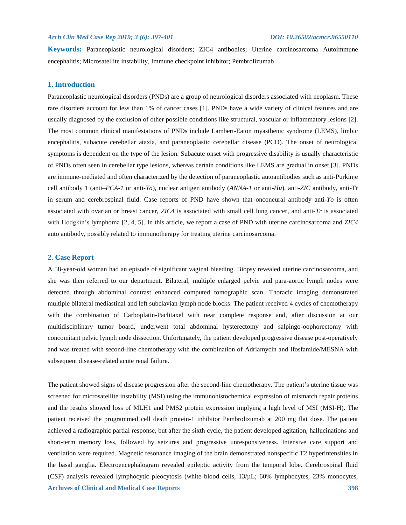**Keywords:** Paraneoplastic neurological disorders; ZIC4 antibodies; Uterine carcinosarcoma Autoimmune encephalitis; Microsatellite instability, Immune checkpoint inhibitor; Pembrolizumab

### **1. Introduction**

Paraneoplastic neurological disorders (PNDs) are a group of neurological disorders associated with neoplasm. These rare disorders account for less than 1% of cancer cases [1]. PNDs have a wide variety of clinical features and are usually diagnosed by the exclusion of other possible conditions like structural, vascular or inflammatory lesions [2]. The most common clinical manifestations of PNDs include Lambert-Eaton myasthenic syndrome (LEMS), limbic encephalitis, subacute cerebellar ataxia, and paraneoplastic cerebellar disease (PCD). The onset of neurological symptoms is dependent on the type of the lesion. Subacute onset with progressive disability is usually characteristic of PNDs often seen in cerebellar type lesions, whereas certain conditions like LEMS are gradual in onset [3]. PNDs are immune-mediated and often characterized by the detection of paraneoplastic autoantibodies such as anti-Purkinje cell antibody 1 (anti–*PCA-1* or anti-*Yo*), nuclear antigen antibody (*ANNA-1* or anti-*Hu*), anti-*ZIC* antibody, anti-Tr in serum and cerebrospinal fluid. Case reports of PND have shown that onconeural antibody anti-*Yo* is often associated with ovarian or breast cancer, *ZIC4* is associated with small cell lung cancer, and anti-*Tr* is associated with Hodgkin's lymphoma [2, 4, 5]. In this article, we report a case of PND with uterine carcinosarcoma and *ZIC4* auto antibody, possibly related to immunotherapy for treating uterine carcinosarcoma.

#### **2. Case Report**

A 58-year-old woman had an episode of significant vaginal bleeding. Biopsy revealed uterine carcinosarcoma, and she was then referred to our department. Bilateral, multiple enlarged pelvic and para-aortic lymph nodes were detected through abdominal contrast enhanced computed tomographic scan. Thoracic imaging demonstrated multiple bilateral mediastinal and left subclavian lymph node blocks. The patient received 4 cycles of chemotherapy with the combination of Carboplatin-Paclitaxel with near complete response and, after discussion at our multidisciplinary tumor board, underwent total abdominal hysterectomy and salpingo-oophorectomy with concomitant pelvic lymph node dissection. Unfortunately, the patient developed progressive disease post-operatively and was treated with second-line chemotherapy with the combination of Adriamycin and Ifosfamide/MESNA with subsequent disease-related acute renal failure.

**Archives of Clinical and Medical Case Reports 398** The patient showed signs of disease progression after the second-line chemotherapy. The patient's uterine tissue was screened for microsatellite instability (MSI) using the immunohistochemical expression of mismatch repair proteins and the results showed loss of MLH1 and PMS2 protein expression implying a high level of MSI (MSI-H). The patient received the programmed cell death protein-1 inhibitor Pembrolizumab at 200 mg flat dose. The patient achieved a radiographic partial response, but after the sixth cycle, the patient developed agitation, hallucinations and short-term memory loss, followed by seizures and progressive unresponsiveness. Intensive care support and ventilation were required. Magnetic resonance imaging of the brain demonstrated nonspecific T2 hyperintensities in the basal ganglia. Electroencephalogram revealed epileptic activity from the temporal lobe. Cerebrospinal fluid (CSF) analysis revealed lymphocytic pleocytosis (white blood cells, 13/µL; 60% lymphocytes, 23% monocytes,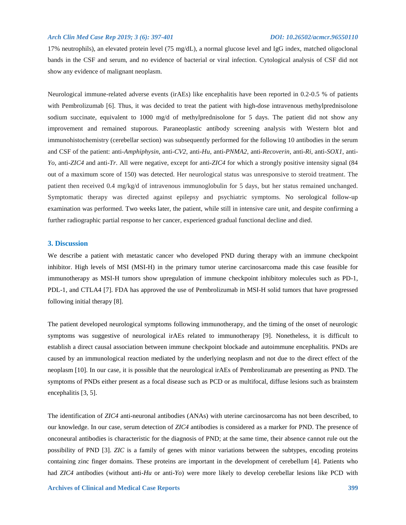17% neutrophils), an elevated protein level (75 mg/dL), a normal glucose level and IgG index, matched oligoclonal bands in the CSF and serum, and no evidence of bacterial or viral infection. Cytological analysis of CSF did not show any evidence of malignant neoplasm.

Neurological immune-related adverse events (irAEs) like encephalitis have been reported in 0.2-0.5 % of patients with Pembrolizumab [6]. Thus, it was decided to treat the patient with high-dose intravenous methylprednisolone sodium succinate, equivalent to 1000 mg/d of methylprednisolone for 5 days. The patient did not show any improvement and remained stuporous. Paraneoplastic antibody screening analysis with Western blot and immunohistochemistry (cerebellar section) was subsequently performed for the following 10 antibodies in the serum and CSF of the patient: anti-*Amphiphysin*, anti-*CV2*, anti-*Hu*, anti-*PNMA2*, anti-*Recoverin*, anti-*Ri*, anti-*SOX1*, anti-*Yo*, anti-*ZIC4* and anti-*Tr*. All were negative, except for anti-*ZIC4* for which a strongly positive intensity signal (84 out of a maximum score of 150) was detected. Her neurological status was unresponsive to steroid treatment. The patient then received 0.4 mg/kg/d of intravenous immunoglobulin for 5 days, but her status remained unchanged. Symptomatic therapy was directed against epilepsy and psychiatric symptoms. No serological follow-up examination was performed. Two weeks later, the patient, while still in intensive care unit, and despite confirming a further radiographic partial response to her cancer, experienced gradual functional decline and died.

### **3. Discussion**

We describe a patient with metastatic cancer who developed PND during therapy with an immune checkpoint inhibitor. High levels of MSI (MSI-H) in the primary tumor uterine carcinosarcoma made this case feasible for immunotherapy as MSI-H tumors show upregulation of immune checkpoint inhibitory molecules such as PD-1, PDL-1, and CTLA4 [7]. FDA has approved the use of Pembrolizumab in MSI-H solid tumors that have progressed following initial therapy [8].

The patient developed neurological symptoms following immunotherapy, and the timing of the onset of neurologic symptoms was suggestive of neurological irAEs related to immunotherapy [9]. Nonetheless, it is difficult to establish a direct causal association between immune checkpoint blockade and autoimmune encephalitis. PNDs are caused by an immunological reaction mediated by the underlying neoplasm and not due to the direct effect of the neoplasm [10]. In our case, it is possible that the neurological irAEs of Pembrolizumab are presenting as PND. The symptoms of PNDs either present as a focal disease such as PCD or as multifocal, diffuse lesions such as brainstem encephalitis [3, 5].

The identification of *ZIC4* anti-neuronal antibodies (ANAs) with uterine carcinosarcoma has not been described, to our knowledge. In our case, serum detection of *ZIC4* antibodies is considered as a marker for PND. The presence of onconeural antibodies is characteristic for the diagnosis of PND; at the same time, their absence cannot rule out the possibility of PND [3]. *ZIC* is a family of genes with minor variations between the subtypes, encoding proteins containing zinc finger domains. These proteins are important in the development of cerebellum [4]. Patients who had *ZIC4* antibodies (without anti-*Hu* or anti-*Yo*) were more likely to develop cerebellar lesions like PCD with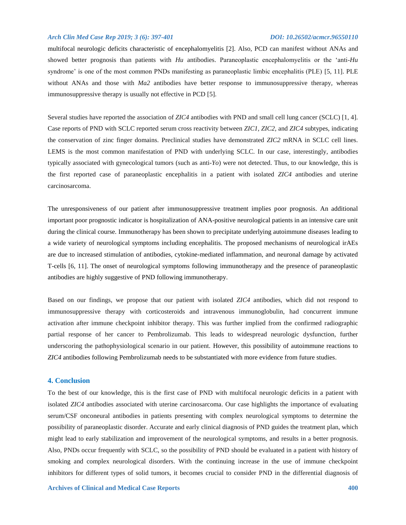multifocal neurologic deficits characteristic of encephalomyelitis [2]. Also, PCD can manifest without ANAs and showed better prognosis than patients with *Hu* antibodies. Paraneoplastic encephalomyelitis or the 'anti-*Hu* syndrome' is one of the most common PNDs manifesting as paraneoplastic limbic encephalitis (PLE) [5, 11]. PLE without ANAs and those with *Ma2* antibodies have better response to immunosuppressive therapy, whereas immunosuppressive therapy is usually not effective in PCD [5].

Several studies have reported the association of *ZIC4* antibodies with PND and small cell lung cancer (SCLC) [1, 4]. Case reports of PND with SCLC reported serum cross reactivity between *ZIC1, ZIC2,* and *ZIC4* subtypes, indicating the conservation of zinc finger domains. Preclinical studies have demonstrated *ZIC2* mRNA in SCLC cell lines. LEMS is the most common manifestation of PND with underlying SCLC. In our case, interestingly, antibodies typically associated with gynecological tumors (such as anti-*Yo*) were not detected. Thus, to our knowledge, this is the first reported case of paraneoplastic encephalitis in a patient with isolated *ZIC4* antibodies and uterine carcinosarcoma.

The unresponsiveness of our patient after immunosuppressive treatment implies poor prognosis. An additional important poor prognostic indicator is hospitalization of ANA-positive neurological patients in an intensive care unit during the clinical course. Immunotherapy has been shown to precipitate underlying autoimmune diseases leading to a wide variety of neurological symptoms including encephalitis. The proposed mechanisms of neurological irAEs are due to increased stimulation of antibodies, cytokine-mediated inflammation, and neuronal damage by activated T-cells [6, 11]. The onset of neurological symptoms following immunotherapy and the presence of paraneoplastic antibodies are highly suggestive of PND following immunotherapy.

Based on our findings, we propose that our patient with isolated *ZIC4* antibodies, which did not respond to immunosuppressive therapy with corticosteroids and intravenous immunoglobulin, had concurrent immune activation after immune checkpoint inhibitor therapy. This was further implied from the confirmed radiographic partial response of her cancer to Pembrolizumab. This leads to widespread neurologic dysfunction, further underscoring the pathophysiological scenario in our patient. However, this possibility of autoimmune reactions to *ZIC4* antibodies following Pembrolizumab needs to be substantiated with more evidence from future studies.

#### **4. Conclusion**

To the best of our knowledge, this is the first case of PND with multifocal neurologic deficits in a patient with isolated *ZIC4* antibodies associated with uterine carcinosarcoma. Our case highlights the importance of evaluating serum/CSF onconeural antibodies in patients presenting with complex neurological symptoms to determine the possibility of paraneoplastic disorder. Accurate and early clinical diagnosis of PND guides the treatment plan, which might lead to early stabilization and improvement of the neurological symptoms, and results in a better prognosis. Also, PNDs occur frequently with SCLC, so the possibility of PND should be evaluated in a patient with history of smoking and complex neurological disorders. With the continuing increase in the use of immune checkpoint inhibitors for different types of solid tumors, it becomes crucial to consider PND in the differential diagnosis of